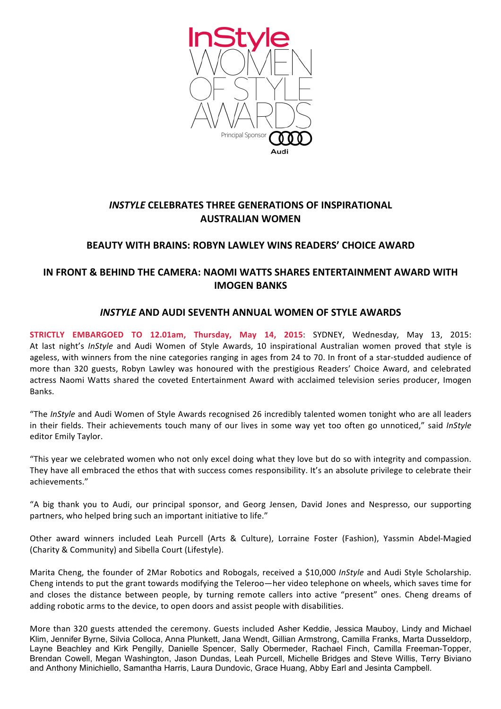

# **INSTYLE CELEBRATES THREE GENERATIONS OF INSPIRATIONAL AUSTRALIAN!WOMEN!**

## **BEAUTY WITH BRAINS: ROBYN LAWLEY WINS READERS' CHOICE AWARD**

# **IN FRONT & BEHIND THE CAMERA: NAOMI WATTS SHARES ENTERTAINMENT AWARD WITH IMOGEN!BANKS**

### *INSTYLE* **AND!AUDI!SEVENTH!ANNUAL!WOMEN!OF!STYLE!AWARDS**

STRICTLY EMBARGOED TO 12.01am, Thursday, May 14, 2015: SYDNEY, Wednesday, May 13, 2015: At last night's *InStyle* and Audi Women of Style Awards, 10 inspirational Australian women proved that style is ageless, with winners from the nine categories ranging in ages from 24 to 70. In front of a star-studded audience of more than 320 guests, Robyn Lawley was honoured with the prestigious Readers' Choice Award, and celebrated actress Naomi Watts shared the coveted Entertainment Award with acclaimed television series producer, Imogen Banks.

"The InStyle and Audi Women of Style Awards recognised 26 incredibly talented women tonight who are all leaders in their fields. Their achievements touch many of our lives in some way vet too often go unnoticed." said *InStyle* editor Emily Taylor.

"This year we celebrated women who not only excel doing what they love but do so with integrity and compassion. They have all embraced the ethos that with success comes responsibility. It's an absolute privilege to celebrate their achievements."

"A big thank you to Audi, our principal sponsor, and Georg Jensen, David Jones and Nespresso, our supporting partners, who helped bring such an important initiative to life."

Other award winners included Leah Purcell (Arts & Culture), Lorraine Foster (Fashion), Yassmin Abdel-Magied (Charity & Community) and Sibella Court (Lifestyle).

Marita Cheng, the founder of 2Mar Robotics and Robogals, received a \$10,000 *InStyle* and Audi Style Scholarship. Cheng intends to put the grant towards modifying the Teleroo—her video telephone on wheels, which saves time for and closes the distance between people, by turning remote callers into active "present" ones. Cheng dreams of adding robotic arms to the device, to open doors and assist people with disabilities.

More than 320 guests attended the ceremony. Guests included Asher Keddie, Jessica Mauboy, Lindy and Michael Klim, Jennifer Byrne, Silvia Colloca, Anna Plunkett, Jana Wendt, Gillian Armstrong, Camilla Franks, Marta Dusseldorp, Layne Beachley and Kirk Pengilly, Danielle Spencer, Sally Obermeder, Rachael Finch, Camilla Freeman-Topper, Brendan Cowell, Megan Washington, Jason Dundas, Leah Purcell, Michelle Bridges and Steve Willis, Terry Biviano and Anthony Minichiello, Samantha Harris, Laura Dundovic, Grace Huang, Abby Earl and Jesinta Campbell.